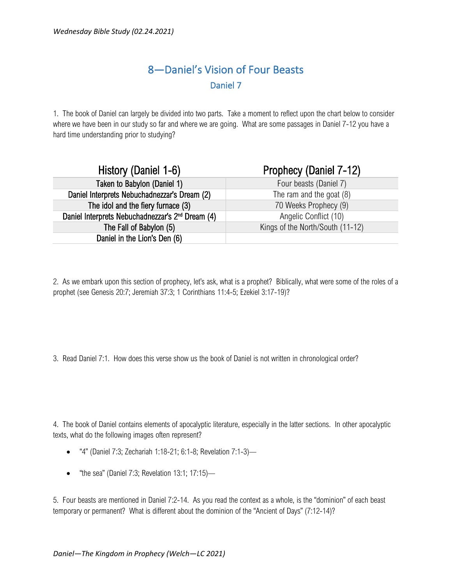## 8—Daniel's Vision of Four Beasts Daniel 7

1. The book of Daniel can largely be divided into two parts. Take a moment to reflect upon the chart below to consider where we have been in our study so far and where we are going. What are some passages in Daniel 7-12 you have a hard time understanding prior to studying?

| History (Daniel 1-6)                                         | Prophecy (Daniel 7-12)           |  |
|--------------------------------------------------------------|----------------------------------|--|
| Taken to Babylon (Daniel 1)                                  | Four beasts (Daniel 7)           |  |
| Daniel Interprets Nebuchadnezzar's Dream (2)                 | The ram and the goat (8)         |  |
| The idol and the fiery furnace (3)                           | 70 Weeks Prophecy (9)            |  |
| Daniel Interprets Nebuchadnezzar's 2 <sup>nd</sup> Dream (4) | Angelic Conflict (10)            |  |
| The Fall of Babylon (5)                                      | Kings of the North/South (11-12) |  |
| Daniel in the Lion's Den (6)                                 |                                  |  |

2. As we embark upon this section of prophecy, let's ask, what is a prophet? Biblically, what were some of the roles of a prophet (see Genesis 20:7; Jeremiah 37:3; 1 Corinthians 11:4-5; Ezekiel 3:17-19)?

3. Read Daniel 7:1. How does this verse show us the book of Daniel is not written in chronological order?

4. The book of Daniel contains elements of apocalyptic literature, especially in the latter sections. In other apocalyptic texts, what do the following images often represent?

- "4" (Daniel 7:3; Zechariah 1:18-21; 6:1-8; Revelation 7:1-3)—
- "the sea" (Daniel 7:3; Revelation 13:1; 17:15)-

5. Four beasts are mentioned in Daniel 7:2-14. As you read the context as a whole, is the "dominion" of each beast temporary or permanent? What is different about the dominion of the "Ancient of Days" (7:12-14)?